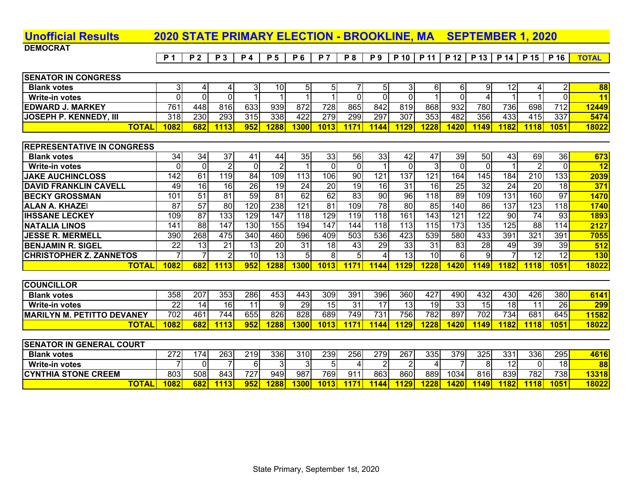# **Unofficial Results 2020 STATE PRIMARY ELECTION - BROOKLINE, MA SEPTEMBER 1, 2020**

**DEMOCRAT** 

| <b>SENATOR IN CONGRESS</b>    |              |      |     |     |     |      |      |                   |      |      |     |      |      |             |      |             |             |             |
|-------------------------------|--------------|------|-----|-----|-----|------|------|-------------------|------|------|-----|------|------|-------------|------|-------------|-------------|-------------|
| <b>Blank votes</b>            |              |      |     |     | 31  | 10I  |      |                   |      |      |     | 61   |      |             |      |             |             | 88          |
| Write-in votes                |              |      |     |     |     |      |      |                   |      |      |     |      |      |             |      |             |             | $\sqrt{11}$ |
| <b>EDWARD J. MARKEY</b>       |              | 761  | 448 | 816 | 633 | 939  | 8721 | 728               | 865  | 842  | 819 | 868  | 932  | 780         | 736  | 6981        | 712         | 12449       |
| <b>JOSEPH P. KENNEDY, III</b> |              | 318  | 230 | 293 | 315 | 338  | 422  | 279I              | 299  | 297  | 307 | 353  | 482  | 356         | 4331 | 415I        | 337         | 5474        |
|                               | <b>TOTAL</b> | 1082 | 682 | 113 | 952 | 1288 | 1300 | 1013 <sub>1</sub> | 1171 | 1144 | 129 | 1228 | 1420 | <b>1149</b> | 182  | <b>1118</b> | <b>1051</b> | 18022       |
|                               |              |      |     |     |     |      |      |                   |      |      |     |      |      |             |      |             |             |             |

### **REPRESENTATIVE IN CONGRESS**

| <b>Blank votes</b>              | 34               | 34              | 37               |                 |                 | 35 <sub>1</sub> | 33              | 56         | 33 <sub>l</sub> | 42              | 47               | 391             | 50  | 43          | 69               | 36              | 673   |
|---------------------------------|------------------|-----------------|------------------|-----------------|-----------------|-----------------|-----------------|------------|-----------------|-----------------|------------------|-----------------|-----|-------------|------------------|-----------------|-------|
| Write-in votes                  |                  |                 |                  |                 |                 |                 |                 |            |                 |                 | $\mathbf{3}$     |                 |     |             |                  |                 | 12    |
| <b>IJAKE AUCHINCLOSS</b>        | 142              | 61              | 19               | 84              | 1091            | 113             | 1061            | 90         | 121             | 137             | 121              | 164             | 145 | 184         | 210              | 133             | 2039  |
| <b>IDAVID FRANKLIN CAVELL</b>   | 49               | 16 <sub>1</sub> | 16 <sub>1</sub>  | 26              | 19 <sup>l</sup> | 24              | 20 <sub>l</sub> | 19         | 16 <sup>1</sup> | 31              | 16               | 25 <sub>l</sub> | 32  | 24          | 20               | 18              | 371   |
| <b>IBECKY GROSSMAN</b>          | 101              | 51              | 81               | 59              | 81              | 62              | 62              | 83         | 90              | 96              | 18 <sup>l</sup>  | 89              | 109 | 131         | 160l             | 97              | 1470  |
| <b>ALAN A. KHAZEI</b>           | 87               | 57              | 80               | 20              | <b>238</b>      | 121             | 81              | 109        | 78              | 80I             | 85               | 1401            | 86  | 137         | 123 <sub>1</sub> | 18 <sub>1</sub> | 1740  |
| <b>IIHSSANE LECKEY</b>          | 109 <sub>l</sub> | 87              | 133 <sub>1</sub> | 29              | 147             | 118             | 129             | 119        | 118I            | 161             | 143I             | 121             | 122 | 90          | 74               | 93              | 1893  |
| <b>INATALIA LINOS</b>           | 141              | 88              | 147              | 30 <sup>1</sup> | 155             | 194             | 147             | 144        | 118             | 13 <sub>1</sub> | 1151             | 1731            | 135 | 125         | 88               | 14              | 2127  |
| <b>IJESSE R. MERMELL</b>        | 390              | 268             | 475              | 340l            | 460             | 596             | 409             | 503        | 536I            | 423             | 539 <sub>1</sub> | 580             | 433 | 391         | 321              | 391             | 7055  |
| <b>BENJAMIN R. SIGEL</b>        | 22               | 13 <sub>1</sub> | 21               | 13 <sub>l</sub> | 20              | 31              | 18I             | 43         | 29              | 33 <sub>l</sub> | 31               | 83              | 28  | 49          | 39               | 39              | 512   |
| <b>ICHRISTOPHER Z. ZANNETOS</b> |                  |                 |                  | 10 <sup>1</sup> | 13 <sub>l</sub> | 5               |                 |            |                 | 13 <sub>1</sub> | 10 <sup>1</sup>  | 61              |     |             | 12               | $\sqrt{2}$      | 130   |
| <u>TOTAL</u>                    | 1082             | 682             | 113              | 952             | <b>1288</b>     | 300             | 1013            | <b>171</b> | 144             | <b>129</b>      | 1228             | 1420            | 149 | <b>1821</b> | 118              | 1051            | 18022 |

| <b>COUNCILLOR</b>                  |      |     |                  |     |      |     |                 |       |      |      |      |             |                 |      |     |             |       |
|------------------------------------|------|-----|------------------|-----|------|-----|-----------------|-------|------|------|------|-------------|-----------------|------|-----|-------------|-------|
| <b>Blank votes</b>                 | 358  | 207 | 353 <sub>1</sub> | 286 | 4531 | 443 | 309l            | 391   | 396  | 360  | 427  | 490         | 4321            | 430  | 426 | 380         | 6141  |
| <b>Write-in votes</b>              | 221  |     | 161              |     | ומ   | 29  | 15 <sub>l</sub> | 31    |      |      | 19   | 33          | 15 <sub>1</sub> | 18I  | 11  | 26          | 299   |
| <b>IMARILYN M. PETITTO DEVANEY</b> | 702  | 461 | 744              | 655 | 826  | 828 | 689             | 749   | 731  | 756  | 782  | 897         | 702             | 734  | 681 | 645         | 11582 |
| <b>TOTAL,</b>                      | 1082 | 682 | 1113.            | 952 | 1288 | 300 | 1013            | 1171. | 1144 | 1129 | 1228 | <b>1420</b> | <u>11491</u>    | 1182 | 118 | <b>1051</b> | 18022 |

| <b>SENATOR IN GENERAL COURT</b> |              |      |      |             |                  |     |     |      |               |      |      |      |      |     |             |            |      |       |
|---------------------------------|--------------|------|------|-------------|------------------|-----|-----|------|---------------|------|------|------|------|-----|-------------|------------|------|-------|
| <b>Blank votes</b>              |              | 272  | 74   | <b>2631</b> | 2191             | 336 | 310 | 239  | 256           | 2791 | 267  | 335  | 3791 | 325 | 331         | 336        | 295  | 4616  |
| Write-in votes                  |              |      |      |             |                  |     |     |      |               |      |      |      |      |     | 12I         |            | 18I  | 88    |
| <b>CYNTHIA STONE CREEM</b>      |              | 803  | 508  | 843I        | 727 <sub>1</sub> | 949 | 987 | 769  | 911           | 8631 | 860  | 889  | 1034 | 816 | 839         | 782        | 738I | 13318 |
|                                 | <b>TOTAL</b> | 1082 | 682I |             | 952 <sub>1</sub> | 288 | 300 | 1013 | <u> 1171 </u> | 144  | 1129 | 1228 | 1420 | 149 | <b>1821</b> | <b>118</b> | 1051 | 18022 |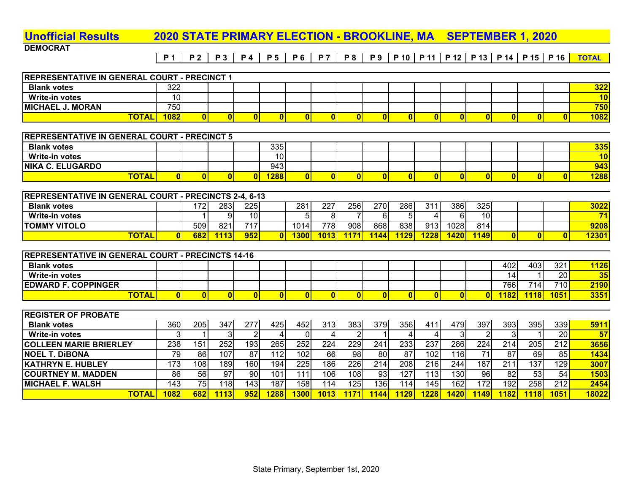### **Unofficial Results 2020 STATE PRIMARY ELECTION - BROOKLINE, MA SEPTEMBER 1, 2020**

**DEMOCRAT** 

**P 1 P 2 P 3 P 4 P 5 P 6 P 7 P 8 P 9 P 10 P 11 P 12 P 13 P 14 P 15 P 16 TOTAL**

| <b>REPRESENTATIVE IN GENERAL COURT - PRECINCT 1</b>      |                  |                 |                  |                  |                  |                  |                  |                  |                  |                  |                         |                  |                         |                  |                  |                  |                 |
|----------------------------------------------------------|------------------|-----------------|------------------|------------------|------------------|------------------|------------------|------------------|------------------|------------------|-------------------------|------------------|-------------------------|------------------|------------------|------------------|-----------------|
| <b>Blank votes</b>                                       | 322              |                 |                  |                  |                  |                  |                  |                  |                  |                  |                         |                  |                         |                  |                  |                  | 322             |
| <b>Write-in votes</b>                                    | 10               |                 |                  |                  |                  |                  |                  |                  |                  |                  |                         |                  |                         |                  |                  |                  | 10              |
| <b>MICHAEL J. MORAN</b>                                  | 750              |                 |                  |                  |                  |                  |                  |                  |                  |                  |                         |                  |                         |                  |                  |                  | 750             |
| <b>TOTAL</b>                                             | 1082             | 0               | $\overline{0}$   | $\bf{0}$         | $\mathbf{0}$     | $\bf{0}$         | $\bf{0}$         | $\mathbf{0}$     | $\mathbf{0}$     | $\mathbf{0}$     | $\bf{0}$                | $\bf{0}$         | $\overline{\mathbf{0}}$ | $\mathbf{0}$     | $\bf{0}$         | $\mathbf{0}$     | 1082            |
|                                                          |                  |                 |                  |                  |                  |                  |                  |                  |                  |                  |                         |                  |                         |                  |                  |                  |                 |
| REPRESENTATIVE IN GENERAL COURT - PRECINCT 5             |                  |                 |                  |                  |                  |                  |                  |                  |                  |                  |                         |                  |                         |                  |                  |                  |                 |
| <b>Blank votes</b>                                       |                  |                 |                  |                  | 335              |                  |                  |                  |                  |                  |                         |                  |                         |                  |                  |                  | 335             |
| Write-in votes                                           |                  |                 |                  |                  | 10               |                  |                  |                  |                  |                  |                         |                  |                         |                  |                  |                  | 10              |
| <b>NIKA C. ELUGARDO</b>                                  |                  |                 |                  |                  | 943              |                  |                  |                  |                  |                  |                         |                  |                         |                  |                  |                  | 943             |
| <b>TOTAL</b>                                             | $\mathbf{0}$     | $\mathbf{0}$    | $\mathbf{0}$     | $\mathbf{0}$     | 1288             | $\mathbf{0}$     | $\mathbf{0}$     | $\mathbf{0}$     | $\overline{0}$   | $\Omega$         | $\mathbf{0}$            | $\mathbf{0}$     | $\overline{\mathbf{0}}$ | $\mathbf{0}$     | $\mathbf{0}$     | $\mathbf{0}$     | <b>1288</b>     |
|                                                          |                  |                 |                  |                  |                  |                  |                  |                  |                  |                  |                         |                  |                         |                  |                  |                  |                 |
| REPRESENTATIVE IN GENERAL COURT - PRECINCTS 2-4, 6-13    |                  |                 |                  |                  |                  |                  |                  |                  |                  |                  |                         |                  |                         |                  |                  |                  |                 |
| <b>Blank votes</b>                                       |                  | 172             | 283              | 225              |                  | 281              | $\overline{227}$ | 256              | 270              | 286              | $\overline{311}$        | 386              | 325                     |                  |                  |                  | 3022            |
| <b>Write-in votes</b>                                    |                  | 1               | 9 <sub>l</sub>   | 10               |                  | $\overline{5}$   | 8                | $\overline{7}$   | 6                | $\overline{5}$   | 4                       | 6                | $\overline{10}$         |                  |                  |                  | $\overline{71}$ |
| <b>TOMMY VITOLO</b>                                      |                  | 509             | 821              | $\overline{717}$ |                  | 1014             | $\overline{778}$ | $\overline{908}$ | 868              | 838              | 913                     | 1028             | 814                     |                  |                  |                  | 9208            |
| <b>TOTAL</b>                                             | $\mathbf{0}$     | 682             | 1113             | 952              | $\mathbf{0}$     | 1300             | 1013             | 1171             | 1144             | 1129             | 1228                    | 1420             | 1149                    | $\mathbf{0}$     | $\mathbf{0}$     | $\mathbf{0}$     | 12301           |
|                                                          |                  |                 |                  |                  |                  |                  |                  |                  |                  |                  |                         |                  |                         |                  |                  |                  |                 |
| <b>REPRESENTATIVE IN GENERAL COURT - PRECINCTS 14-16</b> |                  |                 |                  |                  |                  |                  |                  |                  |                  |                  |                         |                  |                         |                  |                  |                  |                 |
| <b>Blank votes</b>                                       |                  |                 |                  |                  |                  |                  |                  |                  |                  |                  |                         |                  |                         | 402              | 403              | 321              | <b>1126</b>     |
| <b>Write-in votes</b>                                    |                  |                 |                  |                  |                  |                  |                  |                  |                  |                  |                         |                  |                         | 14               | 1                | 20               | 35              |
| <b>EDWARD F. COPPINGER</b>                               |                  |                 |                  |                  |                  |                  |                  |                  |                  |                  |                         |                  |                         | 766              | 714              | 710              | 2190            |
| <b>TOTAL</b>                                             | $\overline{0}$   | 0               | 0                | $\overline{0}$   | 0                | $\mathbf{0}$     | $\mathbf{0}$     | $\mathbf{0}$     | $\overline{0}$   | $\mathbf{0}$     | $\overline{\mathbf{0}}$ | $\mathbf{0}$     | $\mathbf{0}$            | 1182             | <b>1118</b>      | 1051             | 3351            |
|                                                          |                  |                 |                  |                  |                  |                  |                  |                  |                  |                  |                         |                  |                         |                  |                  |                  |                 |
| <b>REGISTER OF PROBATE</b>                               |                  |                 |                  |                  |                  |                  |                  |                  |                  |                  |                         |                  |                         |                  |                  |                  |                 |
| <b>Blank votes</b>                                       | 360              | 205             | $\overline{347}$ | 277              | 425              | 452              | 313              | 383              | 379              | 356              | 411                     | 479              | 397                     | 393              | 395              | 339              | 5911            |
| <b>Write-in votes</b>                                    | 3                | 1               | 3 <sub>l</sub>   | $\overline{2}$   | 4                | $\overline{0}$   | 4                | 2                |                  | 4                | 4                       | 3                | $\overline{2}$          | 3                | $\mathbf 1$      | 20               | 57              |
| <b>COLLEEN MARIE BRIERLEY</b>                            | 238              | 151             | 252              | 193              | 265              | 252              | $\overline{224}$ | 229              | $\overline{241}$ | 233              | 237                     | 286              | $\overline{224}$        | $\overline{214}$ | $\overline{205}$ | $\overline{212}$ | 3656            |
| <b>NOEL T. DIBONA</b>                                    | 79               | 86              | 107              | 87               | $\overline{112}$ | 102              | 66               | 98               | 80               | 87               | 102                     | 116              | $\overline{71}$         | $\overline{87}$  | 69               | 85               | 1434            |
| <b>KATHRYN E. HUBLEY</b>                                 | 173              | 108             | 189              | 160              | 194              | $\overline{225}$ | 186              | $\overline{226}$ | $\overline{214}$ | $\overline{208}$ | $\overline{216}$        | 244              | 187                     | 211              | 137              | 129              | 3007            |
| <b>COURTNEY M. MADDEN</b>                                |                  |                 |                  |                  |                  | $\overline{111}$ | 106              | 108              | 93               | 127              | $\overline{113}$        | $\overline{130}$ | $\overline{96}$         | $\overline{82}$  | 53               | $\overline{54}$  | 1503            |
|                                                          | 86               | $\overline{56}$ | $\overline{97}$  | 90               | 101              |                  |                  |                  |                  |                  |                         |                  |                         |                  |                  |                  |                 |
| <b>MICHAEL F. WALSH</b>                                  | $\overline{143}$ | 75              | $\overline{118}$ | 143              | 187              | 158              | 114              | 125              | 136              | 114              | 145<br>1228             | 162              | $\overline{172}$        | 192              | 258              | $\overline{212}$ | 2454            |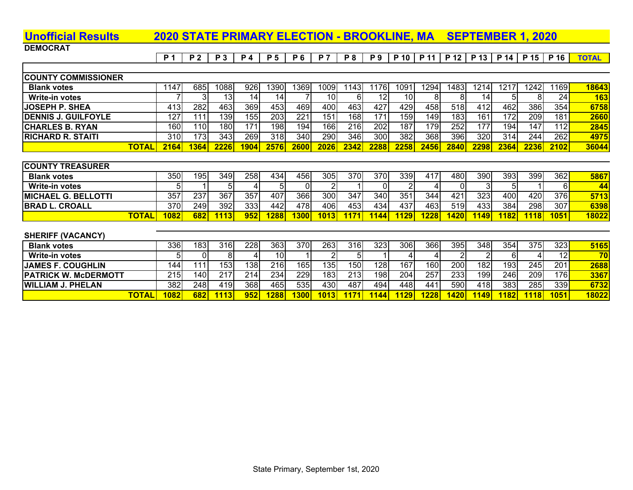# **Unofficial Results 2020 STATE PRIMARY ELECTION - BROOKLINE, MA SEPTEMBER 1, 2020**

**DEMOCRAT** 

|  |  |  |  |  |  |  |  | P1   P2   P3   P4   P5   P6   P7   P8   P9   P10   P11   P12   P13   P14   P15   P16 <mark>  TOTAL  </mark> |
|--|--|--|--|--|--|--|--|-------------------------------------------------------------------------------------------------------------|
|  |  |  |  |  |  |  |  |                                                                                                             |

| <b>COUNTY COMMISSIONER</b> |       |      |      |             |      |      |      |      |      |            |                  |       |      |      |      |      |      |            |
|----------------------------|-------|------|------|-------------|------|------|------|------|------|------------|------------------|-------|------|------|------|------|------|------------|
| <b>Blank votes</b>         |       | 147  | 685  | 1088        | 926  | 390  | 369  | 1009 | 143  | 176        | 109 <sup>7</sup> | 1294  | 1483 | 214  | 1217 | 1242 | 1169 | 18643      |
| Write-in votes             |       |      |      |             |      |      |      |      |      |            |                  |       |      | 14   |      |      | 24   | <b>163</b> |
| <b>JOSEPH P. SHEA</b>      |       | 413I | 282  | 4631        | 369  | 453  | 4691 | 400  | 463  | 427        | 429              | 458   | 518  | 412  | 462  | 386  | 354  | 6758       |
| <b>DENNIS J. GUILFOYLE</b> |       | 127  | 111  | 139I        | 155  | 203  | 221  | 151  | 168  | 171.       | 159I             | 1491  | 183  | 161  | 1721 | 209l | 181  | 2660       |
| <b>ICHARLES B. RYAN</b>    |       | 160I | 110I | 180I        | 171  | 198  | 194  | 1661 | 216  | 202        | 187              | 1791  | 252  | 177  | 194  | 147  | 112  | 2845       |
| <b>RICHARD R. STAITI</b>   |       | 310I | 173I | 343         | 269  | 318l | 340l | 290  | 346  | <b>300</b> | 382              | 368   | 396  | 320  | 314  | 244  | 262  | 4975       |
|                            | ΤΟΤΑΙ | 2164 | 1364 | <b>2226</b> | 1904 | 2576 |      | 2026 | 2342 | 2288       | 2258             | 24561 | 2840 | 2298 | 2364 | 2236 | 2102 | 36044      |

| <b>ICOUNTY TREASURER</b>    |              |      |                  |     |      |      |            |      |       |            |      |      |      |             |     |      |      |        |
|-----------------------------|--------------|------|------------------|-----|------|------|------------|------|-------|------------|------|------|------|-------------|-----|------|------|--------|
| <b>Blank votes</b>          |              | 350  | 195 <sub>1</sub> | 349 | 258  | 434  | 456        | 305  | 370   | 370I       | 339I | 417  | 480  | 390         | 393 | 399  | 362  | 5867   |
| Write-in votes              |              |      |                  |     |      | 51   | ΟI         |      |       | 01         |      |      |      |             |     |      | 61   | 44     |
| <b>IMICHAEL G. BELLOTTI</b> |              | 357  | 237              | 367 | 357  | 407  | 366        | 300  | 347   | <b>340</b> | 351  | 344  | 421  | 323         | 400 | 4201 | 376  | 5713   |
| <b>IBRAD L. CROALL</b>      |              | 370I | 249              | 392 | 333  | 4421 | 4781       | 406  | 453   | 434        | 437  | 463  | 519I | 433         | 384 | 298  | 307  | 6398   |
|                             | <u>TOTAL</u> | 1082 | 682              | 113 | 952. | 1288 | <b>300</b> | 1013 | 1171. | 144        | 1129 | 1228 | 1420 | <b>1149</b> | 182 | 118  | 1051 | 180221 |

| <b>SHERIFF (VACANCY)</b>    |      |      |       |      |             |     |      |      |     |                  |                   |      |             |     |      |      |                 |
|-----------------------------|------|------|-------|------|-------------|-----|------|------|-----|------------------|-------------------|------|-------------|-----|------|------|-----------------|
| <b>Blank votes</b>          | 336  | 1831 | 316I  | 2281 | 363         | 370 | 263  | 316  | 323 | 306 <sub>1</sub> | 366               | 395I | 348         | 354 | 375I | 323  | 5165            |
| <b>Write-in votes</b>       |      |      |       |      |             |     |      |      |     |                  |                   |      |             |     |      | ا2ا  | 70 <sub>1</sub> |
| <b>JAMES F. COUGHLIN</b>    | 144  | 111  | 153I  | 138  | 216         | 165 | 1351 | 150  | 128 | 167              | 160               | 200  | 182         | 193 | 245  | 201  | 2688            |
| <b>PATRICK W. McDERMOTT</b> | 215  | 140  | 217   | 214  | 234         | 229 | 183I | 213  | 198 | 204              | 257               | 2331 | 199         | 246 | 209l | 176  | 3367            |
| <b>WILLIAM J. PHELAN</b>    | 382  | 248  | 419I  | 368  | 465         | 535 | 430I | 487  | 494 | 4481             | 441               | 590  | 418         | 383 | 285  | 339  | 6732            |
| TOTAL                       | 1082 | 682  | 11131 | 952  | <b>1288</b> | 300 | 1013 | 1171 |     | 1129             | 1228 <sub>1</sub> | 1420 | <b>1149</b> | 182 | 1118 | 1051 | 18022           |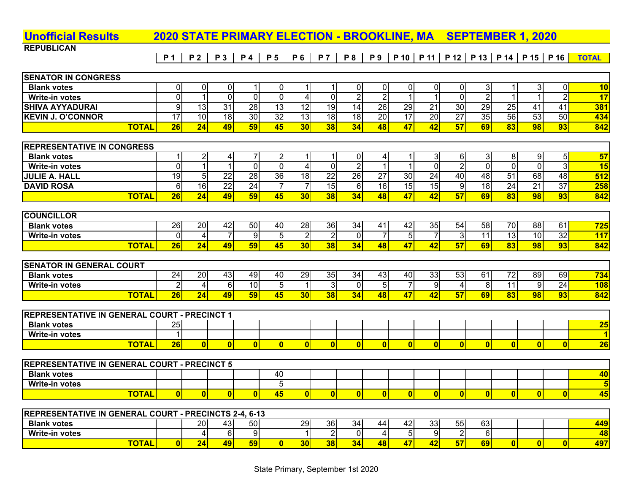| <b>Unofficial Results</b>         |              | 2020 STATE PRIMARY ELECTION - BROOKLINE, MA SEPTEMBER 1, 2020 |                 |                 |                 |                          |                 |            |                 |                 |                 |                 |                 |                |                           |                 |                 |              |
|-----------------------------------|--------------|---------------------------------------------------------------|-----------------|-----------------|-----------------|--------------------------|-----------------|------------|-----------------|-----------------|-----------------|-----------------|-----------------|----------------|---------------------------|-----------------|-----------------|--------------|
| <b>REPUBLICAN</b>                 |              |                                                               |                 |                 |                 |                          |                 |            |                 |                 |                 |                 |                 |                |                           |                 |                 |              |
|                                   |              | <b>P1</b>                                                     | <b>P2</b>       | <b>P3</b>       | <b>P</b> 4      | <b>P5</b>                | <b>P6</b>       | <b>P</b> 7 | <b>P8</b>       | <b>P9</b>       | P 10   P 11     |                 |                 |                | P 12   P 13   P 14   P 15 |                 | P 16            | <b>TOTAL</b> |
|                                   |              |                                                               |                 |                 |                 |                          |                 |            |                 |                 |                 |                 |                 |                |                           |                 |                 |              |
| <b>SENATOR IN CONGRESS</b>        |              |                                                               |                 |                 |                 |                          |                 |            |                 |                 |                 |                 |                 |                |                           |                 |                 |              |
| <b>Blank votes</b>                |              |                                                               | 0               | 01              |                 | 01                       |                 |            |                 | 01              | ΩI              | 01              | 0               | 3              |                           | ЗI              | 01              | 10           |
| <b>Write-in votes</b>             |              |                                                               |                 | 0               |                 |                          |                 |            |                 | 2               |                 |                 |                 |                |                           |                 |                 | 17           |
| <b>SHIVA AYYADURAI</b>            |              | 9                                                             | 13              | 31              | $2\overline{8}$ | 13                       | $\overline{12}$ | 19         | 14              | $\overline{26}$ | 29              | $\overline{21}$ | $\overline{30}$ | 29             | 25                        | 41              | 41              | 381          |
| <b>KEVIN J. O'CONNOR</b>          |              | 17                                                            | 10 <sup>1</sup> | 18              | 30              | $\overline{32}$          | 13              | 18         | $\overline{18}$ | 20              | $\overline{17}$ | 20              | $\overline{27}$ | 35             | 56                        | 53              | 50              | 434          |
|                                   | <b>TOTAL</b> | 26                                                            | 24              | 49              | 59              | 45                       | 30 <sub>l</sub> | 38         | 34              | 48              | 47              | 42              | 57              | 69             | 83                        | 98              | 93 <sub>1</sub> | 842          |
|                                   |              |                                                               |                 |                 |                 |                          |                 |            |                 |                 |                 |                 |                 |                |                           |                 |                 |              |
| <b>REPRESENTATIVE IN CONGRESS</b> |              |                                                               |                 |                 |                 |                          |                 |            |                 |                 |                 |                 |                 |                |                           |                 |                 |              |
| <b>Blank votes</b>                |              |                                                               | $\overline{2}$  | $\frac{4}{ }$   |                 | $\overline{2}$           |                 |            |                 | 4               |                 | $\mathbf{3}$    | 6               | 3 <sup>l</sup> | 8 <sup>1</sup>            | 91              | 5I              | 57           |
| <b>Write-in votes</b>             |              |                                                               |                 |                 | 0               | $\Omega$                 | 4.              | 0          | $\overline{2}$  |                 |                 | $\mathbf{0}$    | $\overline{2}$  | $\Omega$       | $\overline{0}$            | $\Omega$        |                 | 15           |
| <b>JULIE A. HALL</b>              |              | 19                                                            | 5               | 22              | 28              | 36                       | 18              | 22         | 26              | 27              | 30 <sub>l</sub> | $2\overline{4}$ | 40              | 48             | $\overline{51}$           | 68              | 48              | 512          |
| <b>DAVID ROSA</b>                 |              | 6                                                             | 16              | $\overline{22}$ | $2\overline{4}$ | $\overline{\phantom{a}}$ |                 | 15         | 6               | 16              | 15              | 15              | 9               | 18             | 24                        | 21              | 37              | 258          |
|                                   | <b>TOTAL</b> | 26                                                            | 24              | 49              | 59              | 45                       | 30 <sub>l</sub> | 38         | 34              | 48              | 47              | 42              | 57              | 69             | 83                        | 98              | 93              | 842          |
|                                   |              |                                                               |                 |                 |                 |                          |                 |            |                 |                 |                 |                 |                 |                |                           |                 |                 |              |
| <b>COUNCILLOR</b>                 |              |                                                               |                 |                 |                 |                          |                 |            |                 |                 |                 |                 |                 |                |                           |                 |                 |              |
| <b>Blank votes</b>                |              | 26                                                            | 20              | 42              | 50              | 40                       | 28              | 36         | 34              | 41              | 42              | 35              | 54              | 58             | 70                        | 88              | 61              | 725          |
| Muite in veton                    |              | $\cap$                                                        | $\lambda$       | $\overline{7}$  | ി               | $\mathbf{r}$             | ച               | $\Omega$   | $\cap$          | $\overline{7}$  | $\mathsf{E}$    | $\overline{7}$  | $\Omega$        | 11             | ا 10                      | 10 <sub>1</sub> | ാവ              | 447          |

| Write<br>.-in votes |                   | ור         |   |    | o<br>. .  | ור | n . |  |    | ור | - | <b>OL</b> |   | 10<br>ັ | 10 <sup>1</sup> | 32 | 117 |
|---------------------|-------------------|------------|---|----|-----------|----|-----|--|----|----|---|-----------|---|---------|-----------------|----|-----|
|                     | <b>TOT</b><br>- 1 | - -<br>чо. | ъ | ÆО | <b>TA</b> |    | 30. |  | 48 |    |   | --        | n | 83      | 98              | 93 | 842 |
|                     |                   |            |   |    |           |    |     |  |    |    |   |           |   |         |                 |    |     |

| <b>COURT</b><br><b>ISENATOR IN GENERAL</b> |          |           |              |    |     |      |          |    |     |     |     |                           |    |     |    |    |            |
|--------------------------------------------|----------|-----------|--------------|----|-----|------|----------|----|-----|-----|-----|---------------------------|----|-----|----|----|------------|
| <b>Blank votes</b>                         | 24       | <b>20</b> | 43           | 49 | 40  | 29   | つら<br>ັບ | 34 | 431 | 401 | 331 | $\sim$<br><u>ь.</u><br>ັບ | 61 | 721 | 89 | 69 | 734        |
| Write-in votes                             |          |           | $\sim$<br>hi |    |     |      |          |    | וכ  | -   |     |                           |    |     | ור | 24 | <b>108</b> |
| <b>TOTAL</b>                               | m<br>40. |           | 49           | cΩ | 45. | 30 I | 38       |    | 48  |     |     | --<br>. .<br>ы            | 69 | 83  | 98 | 93 | 842        |

| <b>REPRESENTATIVE IN GENERAL COURT - PRECINCT 1</b> |                  |  |  |  |  |  |  |  |    |
|-----------------------------------------------------|------------------|--|--|--|--|--|--|--|----|
| <b>Blank votes</b>                                  | ^-<br>י כ∠       |  |  |  |  |  |  |  | 25 |
| <b>Write-in votes</b>                               |                  |  |  |  |  |  |  |  |    |
| <b>TOTAL</b>                                        | <b>DA</b><br>zo. |  |  |  |  |  |  |  | 26 |

| <b>REPRESENTATIVE IN GENERAL COURT - PRECINCT 5</b> |  |  |  |  |  |  |  |  |  |  |  |  |  |  |  |    |
|-----------------------------------------------------|--|--|--|--|--|--|--|--|--|--|--|--|--|--|--|----|
| <b>Blank votes</b><br>40<br>40                      |  |  |  |  |  |  |  |  |  |  |  |  |  |  |  |    |
| <b>Write-in votes</b>                               |  |  |  |  |  |  |  |  |  |  |  |  |  |  |  |    |
| <b>TOTAL</b>                                        |  |  |  |  |  |  |  |  |  |  |  |  |  |  |  | 45 |

| <b>REPRESENTATIVE IN GENERAL COURT - PRECINCTS 2-4, 6-13</b> |    |     |     |    |    |    |    |     |     |     |     |  |            |
|--------------------------------------------------------------|----|-----|-----|----|----|----|----|-----|-----|-----|-----|--|------------|
| <b>Blank votes</b>                                           | 20 | 431 | 50I | 29 | 36 | 34 | 44 | 42. | 331 | 551 | 63I |  | <b>449</b> |
| <b>Write-in votes</b>                                        |    |     |     |    |    |    |    |     | 91  |     |     |  | 48         |
| <b>TOTAL</b>                                                 |    | 49  | 59  | 30 |    | 34 |    |     | 42  | --  | 69  |  | 497        |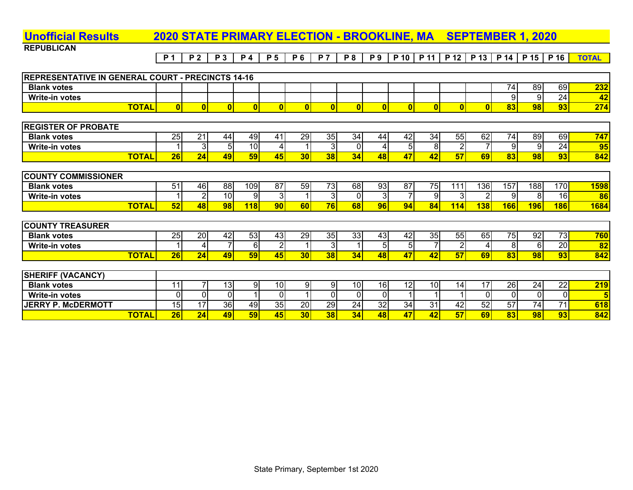### **REPUBLICAN**P1 | P2 | P3 | P4 | P5 | P6 | P7 | P8 | P9 | P10 | P11 | P12 | P13 | P14 | P15 | P16 <mark>| TOTAL</mark> **Unofficial Results 2020 STATE PRIMARY ELECTION - BROOKLINE, MA SEPTEMBER 1, 2020 REPRESENTATIVE IN GENERAL COURT - PRECINCTS 14-16 Blank votes**74 89 69 **232**

| <b>Write-in votes</b>      |              |    |    |                 |                 |                 |            |                |          |    |    |    |     |      |            | 9          | 24         | 42          |
|----------------------------|--------------|----|----|-----------------|-----------------|-----------------|------------|----------------|----------|----|----|----|-----|------|------------|------------|------------|-------------|
|                            | <b>TOTAL</b> |    |    |                 |                 |                 |            |                |          |    |    |    |     |      | 83         | 98         | 93         | 274         |
|                            |              |    |    |                 |                 |                 |            |                |          |    |    |    |     |      |            |            |            |             |
| <b>REGISTER OF PROBATE</b> |              |    |    |                 |                 |                 |            |                |          |    |    |    |     |      |            |            |            |             |
| <b>Blank votes</b>         |              | 25 | 21 | 44              | 49              | 41              | 29         | 35             | 34       | 44 | 42 | 34 | 55  | 62   | 74         | 89         | 69         | 747         |
| <b>Write-in votes</b>      |              |    | 3  | 5 <sub>l</sub>  | 10 <sup>1</sup> | 4               |            | 31             | ΩI       |    |    | 8  |     |      |            | 9          | 24         | 95          |
|                            | <b>TOTAL</b> | 26 | 24 | 49              | 59              | 45              | 30         | 38             | 34       | 48 | 47 | 42 | 57  | 69   | 83         | 98         | 93         | 842         |
|                            |              |    |    |                 |                 |                 |            |                |          |    |    |    |     |      |            |            |            |             |
| <b>COUNTY COMMISSIONER</b> |              |    |    |                 |                 |                 |            |                |          |    |    |    |     |      |            |            |            |             |
| <b>Blank votes</b>         |              | 51 | 46 | 88              | 109             | 87              | 59         | 73             | 68       | 93 | 87 | 75 | 111 | 1361 | 157        | 188        | 170        | <b>1598</b> |
| <b>Write-in votes</b>      |              |    | റ  | 10 <sup>1</sup> | -91             | 31              |            | 31             | $\Omega$ | 3  |    | 9  |     |      |            | 8          | 16         | 86          |
|                            | <b>TOTAL</b> | 52 | 48 | 98              | 118             | 90 <sub>l</sub> | <b>601</b> | 76I            | 68       | 96 | 94 | 84 | 114 | 138  | <b>166</b> | <b>196</b> | <b>186</b> | <b>1684</b> |
|                            |              |    |    |                 |                 |                 |            |                |          |    |    |    |     |      |            |            |            |             |
| <b>COUNTY TREASURER</b>    |              |    |    |                 |                 |                 |            |                |          |    |    |    |     |      |            |            |            |             |
| <b>Blank votes</b>         |              | 25 | 20 | 42              | 53              | 43              | 29         | 35             | 33       | 43 | 42 | 35 | 55  | 65   | 75         | 92         | 73         | 760         |
| <b>Write-in votes</b>      |              |    |    |                 | -61             | 2               |            | 3 <sup>l</sup> |          | 5  | 51 |    |     |      | 8          | 6          | 20         | 82          |

| <b>SHERIFF (VACANCY)</b>  |       |            |           |    |     |                 |    |     |     |     |     |     |     |           |                 |         |     |
|---------------------------|-------|------------|-----------|----|-----|-----------------|----|-----|-----|-----|-----|-----|-----|-----------|-----------------|---------|-----|
| <b>Blank votes</b>        |       |            | 13.       |    | 10  |                 |    | 10I | 16I | I2I | 101 |     |     | <b>26</b> | 24              | າາ<br>▵ | 219 |
| Write-in votes            |       |            |           |    |     |                 |    |     |     |     |     |     |     |           |                 |         |     |
| <b>JERRY P. McDERMOTT</b> |       | ີ          | <b>36</b> | 49 | 35  | 20 <sub>l</sub> | 29 | 24  | 32  | 34  | 31  | ר ו | 52' | 57        | 74              |         | 618 |
|                           | TOTAL | ne<br>40 K | 49        |    | 451 | 30              | 38 |     | 48  |     |     |     | 691 | 83        | 98 <sub>1</sub> | 93      | 842 |

TOTAL| 26| 24| 49| 59| 45| 30| 38| 34| 48| 47| 42| 57| 69| 83| 98| 93| 842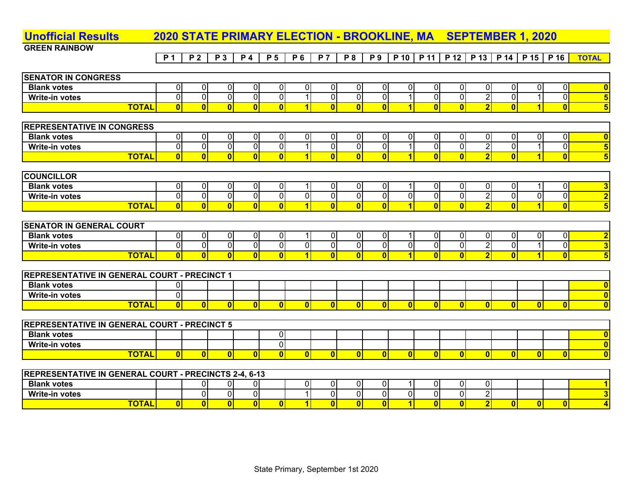| <b>Unofficial Results</b>                             |              |                         |                         |                         | <b>2020 STATE PRIMARY ELECTION - BROOKLINE, MA</b> |                         |                         |                         |                         |                         |                         |                         |                         | <b>SEPTEMBER 1, 2020</b> |                         |                         |                         |                         |
|-------------------------------------------------------|--------------|-------------------------|-------------------------|-------------------------|----------------------------------------------------|-------------------------|-------------------------|-------------------------|-------------------------|-------------------------|-------------------------|-------------------------|-------------------------|--------------------------|-------------------------|-------------------------|-------------------------|-------------------------|
| <b>GREEN RAINBOW</b>                                  |              |                         |                         |                         |                                                    |                         |                         |                         |                         |                         |                         |                         |                         |                          |                         |                         |                         |                         |
|                                                       |              | P <sub>1</sub>          | <b>P2</b>               | <b>P3</b>               | <b>P4</b>                                          | <b>P</b> 5              | <b>P6</b>               | <b>P</b> 7              | P 8                     | P 9                     |                         | P 10 P 11               | P 12                    | P 13                     | P 14                    | P 15                    | P 16                    | <b>TOTAL</b>            |
|                                                       |              |                         |                         |                         |                                                    |                         |                         |                         |                         |                         |                         |                         |                         |                          |                         |                         |                         |                         |
| <b>SENATOR IN CONGRESS</b>                            |              |                         |                         |                         |                                                    |                         |                         |                         |                         |                         |                         |                         |                         |                          |                         |                         |                         |                         |
| <b>Blank votes</b>                                    |              | $\pmb{0}$               | $\overline{0}$          | $\overline{0}$          | $\overline{0}$                                     | $\overline{0}$          | $\overline{0}$          | $\Omega$                | $\overline{0}$          | $\pmb{0}$               | $\overline{0}$          | 0                       | $\overline{0}$          | $\overline{0}$           | $\overline{0}$          | $\overline{0}$          | $\overline{0}$          | $\bf{0}$                |
| Write-in votes                                        |              | $\overline{0}$          | $\overline{\mathsf{o}}$ | $\overline{0}$          | $\overline{0}$                                     | $\overline{0}$          | $\overline{1}$          | $\overline{0}$          | $\overline{0}$          | $\overline{0}$          | $\mathbf 1$             | $\overline{0}$          | $\overline{0}$          | $\overline{2}$           | $\overline{\mathbf{0}}$ | $\mathbf{1}$            | $\overline{0}$          | $\overline{\mathbf{5}}$ |
|                                                       | <b>TOTAL</b> | $\overline{\mathbf{0}}$ | $\overline{0}$          | $\overline{\mathbf{0}}$ | $\overline{\mathbf{0}}$                            | $\overline{\mathbf{0}}$ | $\overline{1}$          | $\overline{\mathbf{0}}$ | $\overline{\mathbf{0}}$ | $\overline{\mathbf{0}}$ | $\overline{\mathbf{1}}$ | $\overline{0}$          | $\overline{\mathbf{0}}$ | $\overline{\mathbf{2}}$  | $\overline{\mathbf{0}}$ | $\overline{1}$          | $\overline{\textbf{0}}$ | $\overline{\mathbf{5}}$ |
|                                                       |              |                         |                         |                         |                                                    |                         |                         |                         |                         |                         |                         |                         |                         |                          |                         |                         |                         |                         |
| <b>REPRESENTATIVE IN CONGRESS</b>                     |              |                         |                         |                         |                                                    |                         |                         |                         |                         |                         |                         |                         |                         |                          |                         |                         |                         |                         |
| <b>Blank votes</b>                                    |              | $\overline{0}$          | $\overline{0}$          | $\overline{0}$          | $\overline{0}$                                     | $\overline{0}$          | $\overline{0}$          | 0                       | $\overline{0}$          | $\overline{0}$          | $\mathbf 0$             | $\pmb{0}$               | $\overline{0}$          | $\overline{0}$           | $\overline{0}$          | $\overline{0}$          | $\overline{0}$          | $\overline{\mathbf{0}}$ |
| <b>Write-in votes</b>                                 |              | $\overline{\mathbf{0}}$ | $\overline{\mathsf{o}}$ | $\overline{0}$          | $\overline{0}$                                     | $\overline{0}$          | $\overline{1}$          | $\overline{0}$          | $\overline{0}$          | $\overline{\mathbf{0}}$ |                         | $\overline{0}$          | $\overline{0}$          | $\overline{2}$           | $\overline{0}$          | $\mathbf{1}$            | $\overline{0}$          | $\overline{\mathbf{5}}$ |
|                                                       | <b>TOTAL</b> | $\overline{0}$          | $\mathbf{0}$            | $\overline{\mathbf{0}}$ | $\overline{0}$                                     | $\overline{\mathbf{0}}$ | $\overline{1}$          | $\overline{\mathbf{0}}$ | $\overline{0}$          | $\overline{\mathbf{0}}$ | $\overline{1}$          | $\overline{\mathbf{0}}$ | 0                       | $\overline{\mathbf{2}}$  | $\overline{0}$          | $\overline{\mathbf{1}}$ | $\overline{\mathbf{0}}$ | $\overline{\mathbf{5}}$ |
|                                                       |              |                         |                         |                         |                                                    |                         |                         |                         |                         |                         |                         |                         |                         |                          |                         |                         |                         |                         |
| <b>COUNCILLOR</b>                                     |              |                         |                         |                         |                                                    |                         |                         |                         |                         |                         |                         |                         |                         |                          |                         |                         |                         |                         |
| <b>Blank votes</b>                                    |              | $\pmb{0}$               | $\mathbf 0$             | $\overline{0}$          | 0                                                  | 0                       | 1                       | $\Omega$                | $\overline{0}$          | $\pmb{0}$               |                         | $\mathbf 0$             | $\overline{0}$          | $\mathbf 0$              | $\overline{0}$          | 1                       | $\overline{0}$          | $\overline{\mathbf{3}}$ |
| <b>Write-in votes</b>                                 |              | $\overline{\mathbf{0}}$ | $\overline{\mathsf{o}}$ | $\overline{0}$          | $\overline{0}$                                     | $\overline{0}$          | $\overline{0}$          | $\overline{0}$          | $\overline{0}$          | $\overline{0}$          | $\overline{\mathsf{o}}$ | $\overline{\mathsf{o}}$ | $\overline{0}$          | $\overline{2}$           | $\overline{0}$          | $\overline{0}$          | $\overline{0}$          | $\overline{\mathbf{2}}$ |
|                                                       | <b>TOTAL</b> | $\overline{0}$          | $\overline{0}$          | $\overline{\mathbf{0}}$ | $\overline{\mathbf{0}}$                            | $\overline{\mathbf{0}}$ | $\overline{\mathbf{1}}$ | $\overline{\mathbf{0}}$ | $\overline{\mathbf{0}}$ | $\overline{\mathbf{0}}$ | $\blacksquare$          | $\overline{\mathbf{0}}$ | $\overline{\mathbf{0}}$ | $\overline{2}$           | $\overline{\mathbf{0}}$ | $\overline{\mathbf{1}}$ | $\overline{\mathbf{0}}$ | $\overline{\mathbf{5}}$ |
|                                                       |              |                         |                         |                         |                                                    |                         |                         |                         |                         |                         |                         |                         |                         |                          |                         |                         |                         |                         |
| <b>SENATOR IN GENERAL COURT</b>                       |              |                         |                         |                         |                                                    |                         |                         |                         |                         |                         |                         |                         |                         |                          |                         |                         |                         |                         |
| <b>Blank votes</b>                                    |              | $\overline{0}$          | $\overline{0}$          | $\overline{0}$          | $\overline{0}$                                     | $\overline{0}$          | 1                       | 0                       | $\overline{0}$          | $\overline{0}$          |                         | $\overline{0}$          | $\overline{0}$          | $\overline{0}$           | $\overline{0}$          | $\overline{0}$          | $\overline{0}$          | $\overline{\mathbf{2}}$ |
| <b>Write-in votes</b>                                 |              | $\overline{\mathbf{0}}$ | $\overline{0}$          | $\overline{0}$          | $\overline{0}$                                     | $\overline{0}$          | $\overline{0}$          | $\overline{0}$          | $\overline{0}$          | $\overline{0}$          | $\overline{\mathsf{o}}$ | $\overline{\mathsf{o}}$ | $\overline{0}$          | $\overline{2}$           | $\overline{0}$          | $\mathbf{1}$            | $\overline{\mathbf{0}}$ | $\overline{\mathbf{3}}$ |
|                                                       | <b>TOTAL</b> | $\overline{0}$          | $\Omega$                | $\overline{\mathbf{0}}$ | $\overline{0}$                                     | $\mathbf{0}$            | $\overline{\mathbf{1}}$ | $\overline{0}$          | $\overline{0}$          | $\overline{0}$          | $\overline{1}$          | $\overline{0}$          | $\overline{0}$          | $\overline{2}$           | $\overline{\mathbf{0}}$ | $\blacktriangleleft$    | $\overline{0}$          | $\overline{\mathbf{5}}$ |
|                                                       |              |                         |                         |                         |                                                    |                         |                         |                         |                         |                         |                         |                         |                         |                          |                         |                         |                         |                         |
| REPRESENTATIVE IN GENERAL COURT - PRECINCT 1          |              |                         |                         |                         |                                                    |                         |                         |                         |                         |                         |                         |                         |                         |                          |                         |                         |                         |                         |
| <b>Blank votes</b>                                    |              | 0                       |                         |                         |                                                    |                         |                         |                         |                         |                         |                         |                         |                         |                          |                         |                         |                         | $\overline{\mathbf{0}}$ |
| <b>Write-in votes</b>                                 |              | $\overline{0}$          |                         |                         |                                                    |                         |                         |                         |                         |                         |                         |                         |                         |                          |                         |                         |                         | $\overline{\mathbf{0}}$ |
|                                                       | <b>TOTAL</b> | $\overline{0}$          | $\overline{0}$          | $\mathbf{0}$            | $\overline{0}$                                     | $\overline{\mathbf{0}}$ | $\overline{0}$          | $\overline{0}$          | $\overline{0}$          | $\overline{0}$          | $\overline{0}$          | $\overline{0}$          | $\mathbf{0}$            | $\overline{0}$           | $\overline{0}$          | $\overline{0}$          | $\overline{0}$          | $\overline{\mathbf{0}}$ |
|                                                       |              |                         |                         |                         |                                                    |                         |                         |                         |                         |                         |                         |                         |                         |                          |                         |                         |                         |                         |
| <b>REPRESENTATIVE IN GENERAL COURT - PRECINCT 5</b>   |              |                         |                         |                         |                                                    |                         |                         |                         |                         |                         |                         |                         |                         |                          |                         |                         |                         |                         |
| <b>Blank votes</b>                                    |              |                         |                         |                         |                                                    | $\overline{0}$          |                         |                         |                         |                         |                         |                         |                         |                          |                         |                         |                         | $\bf{0}$                |
| Write-in votes                                        |              |                         |                         |                         |                                                    | $\overline{0}$          |                         |                         |                         |                         |                         |                         |                         |                          |                         |                         |                         | $\overline{\mathbf{0}}$ |
|                                                       | <b>TOTAL</b> | $\overline{0}$          | $\overline{0}$          | $\overline{0}$          | $\overline{0}$                                     | $\overline{\mathbf{0}}$ | $\overline{0}$          | $\mathbf{0}$            | $\overline{0}$          | $\overline{0}$          | $\overline{0}$          | $\overline{0}$          | $\mathbf{0}$            | $\overline{0}$           | $\overline{0}$          | $\mathbf{0}$            | 0                       | $\overline{\mathbf{0}}$ |
|                                                       |              |                         |                         |                         |                                                    |                         |                         |                         |                         |                         |                         |                         |                         |                          |                         |                         |                         |                         |
| REPRESENTATIVE IN GENERAL COURT - PRECINCTS 2-4, 6-13 |              |                         |                         |                         |                                                    |                         |                         |                         |                         |                         |                         |                         |                         |                          |                         |                         |                         |                         |
| <b>Blank votes</b>                                    |              |                         | 0                       | $\overline{0}$          | 01                                                 |                         | $\overline{0}$          | 0                       | $\overline{0}$          | $\overline{0}$          |                         | $\mathbf 0$             | $\overline{0}$          | 0                        |                         |                         |                         | $\overline{\mathbf{1}}$ |
| Write-in votes                                        |              |                         | $\mathbf 0$             | $\overline{0}$          | $\overline{0}$                                     |                         | $\overline{1}$          | $\overline{0}$          | $\overline{0}$          | $\overline{0}$          | $\pmb{0}$               | $\overline{0}$          | $\mathbf 0$             | $\overline{2}$           |                         |                         |                         | $\overline{\mathbf{3}}$ |
|                                                       | <b>TOTAL</b> | $\mathbf{0}$            | $\overline{0}$          | $\overline{\mathbf{0}}$ | $\overline{\mathbf{0}}$                            | $\overline{0}$          | $\overline{1}$          | $\overline{\mathbf{0}}$ | $\overline{\mathbf{0}}$ | $\overline{0}$          | $\overline{\mathbf{1}}$ | $\overline{0}$          | $\overline{\mathbf{0}}$ | $\overline{2}$           | $\overline{0}$          | $\mathbf{0}$            | $\mathbf{0}$            | $\overline{4}$          |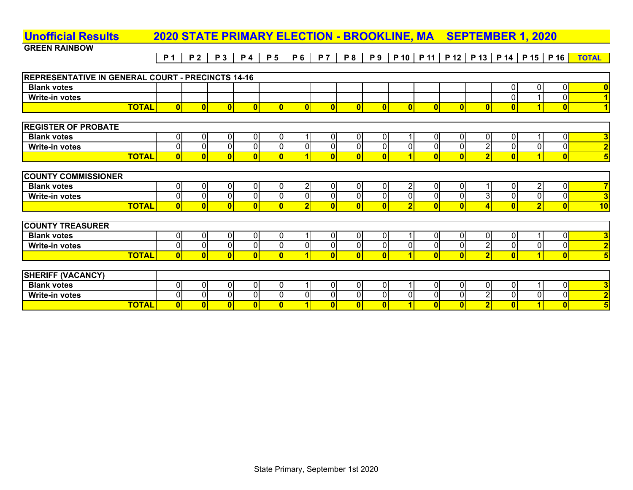#### **GREEN RAINBOW**<u>P1 | P2 | P3 | P4 | P5 | P6 | P7 | P8 | P9 | P10 | P11 | P12 | P13 | P14 | P15 | P16 | TOTAL</u> **Unofficial Results 2020 STATE PRIMARY ELECTION - BROOKLINE, MA SEPTEMBER 1, 2020 REPRESENTATIVE IN GENERAL COURT - PRECINCTS 14-16 Blank votes** 000 **0 Write-in votes** 010 **1 TOTAL 0000000000000010 1 REGISTER OF PROBATE Blank votes** 0000010001000010 **3 Write-in votes** 0000000000002000 **2 TOTAL 0000010001002010 5 COUNTY COMMISSIONER Blank votes** 0000020002001020 **7 Write-in votes** 0000000000003000 **3 TOTAL**L| 0| 0| 0| 0| 0| 2| 0| 0| 0| 2| 0| 0| 4| 0| 2| 0| 10

| <b>ICOUNTY TREASURER</b> |    |  |    |             |  |              |  |              |   |  |  |
|--------------------------|----|--|----|-------------|--|--------------|--|--------------|---|--|--|
| <b>Blank votes</b>       | ОL |  | ωL |             |  | $\mathbf{I}$ |  | O            |   |  |  |
| <b>Write-in votes</b>    | ΩI |  | ΩL | $\sim$<br>υ |  | ш            |  | $\sim$<br>υı | ◠ |  |  |
| <b>TOTAL</b>             |    |  |    |             |  |              |  |              |   |  |  |

| <b>SHERIFF (VACANCY)</b> |              |  |  |  |  |  |  |     |  |  |
|--------------------------|--------------|--|--|--|--|--|--|-----|--|--|
| <b>Blank votes</b>       |              |  |  |  |  |  |  | OI. |  |  |
| <b>Write-in votes</b>    |              |  |  |  |  |  |  | OΙ  |  |  |
|                          | <b>TOTAL</b> |  |  |  |  |  |  |     |  |  |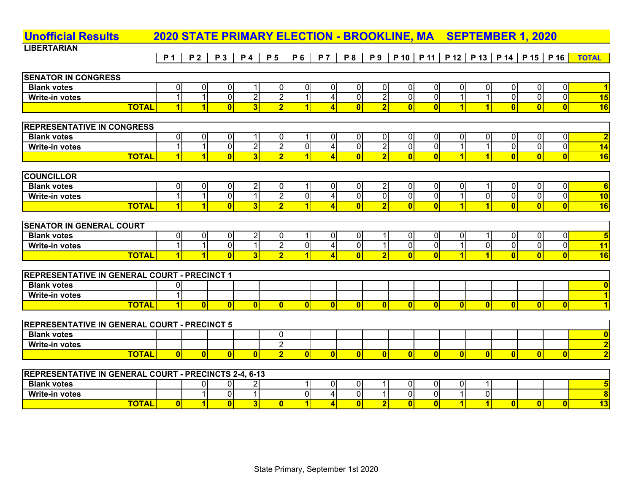| <b>Unofficial Results</b>                                    |                  |                         |                         | <b>2020 STATE PRIMARY ELECTION - BROOKLINE, MA</b> |                         |                         |                         |                         |                         |                         |                         |                          | <b>SEPTEMBER 1, 2020</b> |                         |                         |                         |                         |
|--------------------------------------------------------------|------------------|-------------------------|-------------------------|----------------------------------------------------|-------------------------|-------------------------|-------------------------|-------------------------|-------------------------|-------------------------|-------------------------|--------------------------|--------------------------|-------------------------|-------------------------|-------------------------|-------------------------|
| <b>LIBERTARIAN</b>                                           |                  |                         |                         |                                                    |                         |                         |                         |                         |                         |                         |                         |                          |                          |                         |                         |                         |                         |
|                                                              | $\overline{P}$ 1 | $\overline{P}$          | P 3                     | P 4                                                | P <sub>5</sub>          | P 6                     | P <sub>7</sub>          | P 8                     | P <sub>9</sub>          | $P$ 10                  | P 11                    | P 12                     | $\overline{P}$ 13        | P 14                    | P 15                    | P 16                    | <b>TOTAL</b>            |
|                                                              |                  |                         |                         |                                                    |                         |                         |                         |                         |                         |                         |                         |                          |                          |                         |                         |                         |                         |
| <b>SENATOR IN CONGRESS</b>                                   |                  |                         |                         |                                                    |                         |                         |                         |                         |                         |                         |                         |                          |                          |                         |                         |                         |                         |
| <b>Blank votes</b>                                           | $\overline{0}$   | $\overline{0}$          | $\overline{0}$          | $\mathbf{1}$                                       | $\overline{0}$          | $\pmb{0}$               | 0                       | $\overline{0}$          | $\overline{0}$          | $\mathbf 0$             | 0                       | $\Omega$                 | $\overline{0}$           | $\overline{0}$          | $\overline{0}$          | $\overline{0}$          | $\overline{\mathbf{1}}$ |
| Write-in votes                                               | $\overline{1}$   | $\mathbf{1}$            | $\overline{0}$          | $\overline{2}$                                     | $\overline{2}$          | $\mathbf{1}$            | $\overline{4}$          | $\overline{0}$          | $\overline{2}$          | $\overline{0}$          | $\overline{0}$          | $\mathbf{1}$             | $\mathbf{1}$             | $\overline{0}$          | $\overline{0}$          | 0                       | 15                      |
| <b>TOTAL</b>                                                 | $\overline{1}$   | 1                       | $\overline{0}$          | $\overline{3}$                                     | $\overline{2}$          | $\overline{\mathbf{1}}$ | $\overline{4}$          | $\overline{0}$          | $\overline{2}$          | $\overline{0}$          | $\overline{0}$          | $\vert$ 1                | $\overline{\mathbf{1}}$  | $\overline{0}$          | $\overline{0}$          | $\overline{\mathbf{0}}$ | 16                      |
|                                                              |                  |                         |                         |                                                    |                         |                         |                         |                         |                         |                         |                         |                          |                          |                         |                         |                         |                         |
| <b>REPRESENTATIVE IN CONGRESS</b>                            |                  |                         |                         |                                                    |                         |                         |                         |                         |                         |                         |                         |                          |                          |                         |                         |                         |                         |
| <b>Blank votes</b>                                           | $\overline{0}$   | $\overline{\mathbf{c}}$ | $\overline{0}$          |                                                    | $\overline{0}$          | $\mathbf{1}$            | 0                       | $\overline{0}$          | $\overline{0}$          | $\overline{0}$          | $\overline{\mathsf{o}}$ | $\overline{0}$           | $\overline{0}$           | $\overline{0}$          | $\overline{0}$          | $\overline{0}$          | $\overline{\mathbf{2}}$ |
| <b>Write-in votes</b>                                        | $\overline{1}$   | $\overline{1}$          | $\overline{0}$          | $\overline{2}$                                     | $\overline{2}$          | $\overline{0}$          | $\overline{4}$          | $\overline{\mathsf{o}}$ | $\overline{2}$          | $\overline{\mathsf{o}}$ | $\overline{0}$          | $\overline{\phantom{0}}$ | $\overline{1}$           | $\overline{0}$          | $\overline{0}$          | $\overline{0}$          | $\overline{14}$         |
| <b>TOTAL</b>                                                 | $\overline{1}$   | $\blacksquare$          | $\overline{\mathbf{0}}$ | $\overline{\mathbf{3}}$                            | $\overline{2}$          | $\overline{\mathbf{1}}$ | $\overline{4}$          | $\overline{0}$          | $\overline{\mathbf{2}}$ | $\overline{0}$          | $\overline{0}$          | $\overline{\mathbf{1}}$  | $\overline{\mathbf{1}}$  | $\overline{0}$          | 0                       | 0                       | 16                      |
|                                                              |                  |                         |                         |                                                    |                         |                         |                         |                         |                         |                         |                         |                          |                          |                         |                         |                         |                         |
| <b>COUNCILLOR</b>                                            |                  |                         |                         |                                                    |                         |                         |                         |                         |                         |                         |                         |                          |                          |                         |                         |                         |                         |
| <b>Blank votes</b>                                           | $\overline{0}$   | $\overline{0}$          | $\overline{0}$          | $\overline{2}$                                     | $\overline{0}$          | $\mathbf{1}$            | $\pmb{0}$               | $\overline{0}$          | $\overline{2}$          | $\mathbf 0$             | $\pmb{0}$               | $\overline{0}$           | 1                        | $\overline{0}$          | $\overline{0}$          | $\overline{0}$          | 6                       |
| <b>Write-in votes</b>                                        | $\overline{1}$   | $\overline{1}$          | $\overline{0}$          | $\overline{1}$                                     | $\overline{2}$          | $\overline{0}$          | $\overline{4}$          | $\overline{0}$          | $\overline{0}$          | $\overline{0}$          | $\overline{\mathbf{0}}$ | $\mathbf{1}$             | $\overline{0}$           | $\overline{0}$          | $\overline{0}$          | $\overline{0}$          | 10                      |
| <b>TOTAL</b>                                                 | $\overline{1}$   | 11                      | $\overline{\mathbf{0}}$ | $\overline{\mathbf{3}}$                            | $\overline{2}$          | $\overline{\mathbf{1}}$ | $\overline{4}$          | $\overline{0}$          | $\overline{2}$          | $\overline{0}$          | $\overline{\mathbf{0}}$ | $\vert$ 1                | $\overline{\mathbf{1}}$  | $\overline{\mathbf{0}}$ | $\overline{\mathbf{0}}$ | $\overline{\mathbf{0}}$ | 16                      |
|                                                              |                  |                         |                         |                                                    |                         |                         |                         |                         |                         |                         |                         |                          |                          |                         |                         |                         |                         |
| <b>SENATOR IN GENERAL COURT</b>                              |                  |                         |                         |                                                    |                         |                         |                         |                         |                         |                         |                         |                          |                          |                         |                         |                         |                         |
| <b>Blank votes</b>                                           | $\overline{0}$   | $\overline{0}$          | $\overline{0}$          | $\overline{2}$                                     | $\overline{0}$          | $\mathbf{1}$            | $\mathbf 0$             | $\overline{0}$          | $\mathbf{1}$            | $\overline{0}$          | $\overline{0}$          | $\overline{0}$           | $\mathbf 1$              | $\overline{0}$          | 0                       | 0                       | $5\phantom{1}$          |
| <b>Write-in votes</b>                                        | $\overline{1}$   | $\mathbf{1}$            | $\overline{0}$          | $\mathbf{1}$                                       | $\overline{2}$          | $\overline{0}$          | $\overline{\mathbf{4}}$ | $\overline{0}$          | $\mathbf{1}$            | $\overline{0}$          | $\overline{0}$          | $\mathbf{1}$             | $\overline{0}$           | $\overline{0}$          | $\overline{0}$          | 0                       | $\overline{11}$         |
| <b>TOTAL</b>                                                 | $\blacksquare$   | $\blacksquare$          | $\overline{0}$          | $\overline{3}$                                     | $\overline{2}$          | $\overline{1}$          | $\overline{4}$          | $\overline{0}$          | $\overline{2}$          | $\overline{0}$          | $\overline{0}$          | $\blacksquare$           | $\overline{\mathbf{1}}$  | $\overline{0}$          | $\mathbf{0}$            | $\overline{0}$          | 16                      |
|                                                              |                  |                         |                         |                                                    |                         |                         |                         |                         |                         |                         |                         |                          |                          |                         |                         |                         |                         |
| <b>REPRESENTATIVE IN GENERAL COURT - PRECINCT 1</b>          |                  |                         |                         |                                                    |                         |                         |                         |                         |                         |                         |                         |                          |                          |                         |                         |                         |                         |
| <b>Blank votes</b>                                           | $\overline{0}$   |                         |                         |                                                    |                         |                         |                         |                         |                         |                         |                         |                          |                          |                         |                         |                         | $\overline{\mathbf{0}}$ |
| <b>Write-in votes</b>                                        | $\overline{1}$   |                         |                         |                                                    |                         |                         |                         |                         |                         |                         |                         |                          |                          |                         |                         |                         | $\overline{1}$          |
| <b>TOTAL</b>                                                 | 11               | $\mathbf{0}$            | 0                       | $\mathbf{0}$                                       | $\overline{0}$          | $\mathbf{0}$            | $\bf{0}$                | $\mathbf{0}$            | $\mathbf{0}$            | $\mathbf{0}$            | $\mathbf{0}$            | $\mathbf{0}$             | $\mathbf{0}$             | 0                       | $\mathbf{0}$            | 0                       | $\overline{1}$          |
|                                                              |                  |                         |                         |                                                    |                         |                         |                         |                         |                         |                         |                         |                          |                          |                         |                         |                         |                         |
| <b>REPRESENTATIVE IN GENERAL COURT - PRECINCT 5</b>          |                  |                         |                         |                                                    |                         |                         |                         |                         |                         |                         |                         |                          |                          |                         |                         |                         |                         |
| <b>Blank votes</b>                                           |                  |                         |                         |                                                    | $\overline{0}$          |                         |                         |                         |                         |                         |                         |                          |                          |                         |                         |                         | $\overline{\mathbf{0}}$ |
| <b>Write-in votes</b>                                        |                  |                         |                         |                                                    | $\overline{2}$          |                         |                         |                         |                         |                         |                         |                          |                          |                         |                         |                         | $\overline{\mathbf{2}}$ |
| <b>TOTAL</b>                                                 | $\overline{0}$   | $\overline{0}$          | $\overline{0}$          | $\overline{0}$                                     | $\overline{\mathbf{2}}$ | $\overline{0}$          | $\mathbf{0}$            | $\overline{0}$          | $\overline{0}$          | $\overline{0}$          | $\mathbf{0}$            | $\mathbf{0}$             | $\overline{0}$           | $\overline{0}$          | $\mathbf{0}$            | 0                       | $\overline{\mathbf{2}}$ |
|                                                              |                  |                         |                         |                                                    |                         |                         |                         |                         |                         |                         |                         |                          |                          |                         |                         |                         |                         |
| <b>REPRESENTATIVE IN GENERAL COURT - PRECINCTS 2-4, 6-13</b> |                  |                         |                         |                                                    |                         |                         |                         |                         |                         |                         |                         |                          |                          |                         |                         |                         |                         |
| <b>Blank votes</b>                                           |                  | $\overline{0}$          | $\overline{0}$          | $\overline{2}$                                     |                         | $\mathbf{1}$            | $\overline{0}$          | $\overline{0}$          | $\mathbf 1$             | $\overline{0}$          | $\mathbf 0$             | $\Omega$                 | $\mathbf 1$              |                         |                         |                         | $\overline{\mathbf{5}}$ |
| <b>Write-in votes</b>                                        |                  |                         | $\overline{0}$          | 1                                                  |                         | $\overline{\mathsf{o}}$ | $\overline{\mathbf{4}}$ | $\overline{0}$          | $\mathbf{1}$            | $\overline{\mathsf{o}}$ | $\overline{0}$          |                          | $\overline{0}$           |                         |                         |                         | $\overline{\mathbf{8}}$ |
| <b>TOTAL</b>                                                 | $\overline{0}$   | $\overline{1}$          | $\overline{0}$          | $\overline{3}$                                     | $\overline{0}$          | $\overline{\mathbf{1}}$ | $\overline{\mathbf{A}}$ | $\overline{\mathbf{0}}$ | $\overline{2}$          | $\overline{\mathbf{0}}$ | $\overline{0}$          | $\vert$ 1                | $\overline{1}$           | $\overline{0}$          | $\mathbf{0}$            | $\mathbf{0}$            | $\overline{13}$         |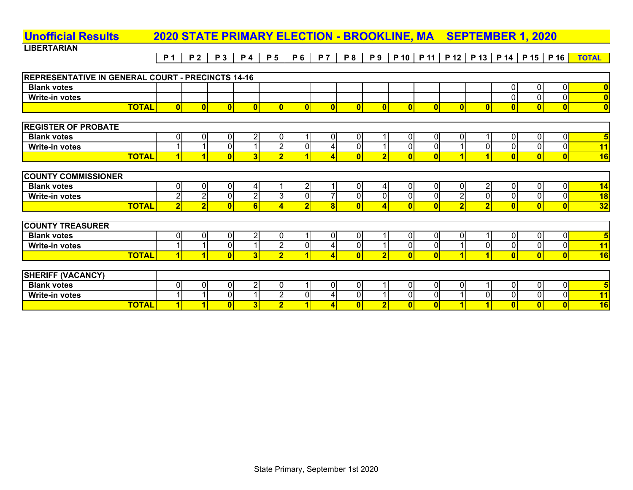#### **LIBERTARIAN**P1 | P2 | P3 | P4 | P5 | P6 | P7 | P8 | P9 | P10 | P11 | P12 | P13 | P14 | P15 | P16 <mark>| TOTAL</mark> **Unofficial Results 2020 STATE PRIMARY ELECTION - BROOKLINE, MA SEPTEMBER 1, 2020 REPRESENTATIVE IN GENERAL COURT - PRECINCTS 14-16 Blank votes** 000 **0 Write-in votes** 000 **0 TOTAL 0000000000000000 0 REGISTER OF PROBATE Blank votes** 0002010010001000 **5 Write-in votes**11 1 1 1 1 1 1 1 2 0 4 0 1 0 0 1 0 0 0 0 0 0 0 <mark>11</mark> **TOTAL**L| 1| 1| 0| 3| 2| 1| 4| 0| 2| 0| 0| 1| 1| 0| 0| 0| 16 **COUNTY COMMISSIONER Blank votes** 0004121040002000 **14 Write-in votes** 2202307000020000 **18 TOTAL**L| 2| 2| 0| 6| 4| 2| 8| 0| 4| 0| 0| 2| 2| 0| 0| 0| 32

| <b>COUNTY TREASURER</b> |   |  |              |  |  |   |  |  |    |
|-------------------------|---|--|--------------|--|--|---|--|--|----|
| <b>Blank votes</b>      | л |  | $\sim$<br>υı |  |  |   |  |  |    |
| <b>Write-in votes</b>   |   |  | $\sim$       |  |  | ~ |  |  | и  |
| <b>TOTAL</b>            |   |  |              |  |  |   |  |  | 16 |

| (VACANCY)<br><b>SHERIFF</b> |  |    |   |  |  |  |       |  |  |       |
|-----------------------------|--|----|---|--|--|--|-------|--|--|-------|
| <b>Blank votes</b>          |  | ΩI | - |  |  |  | . ) ! |  |  |       |
| Write-in votes              |  | ΩI |   |  |  |  |       |  |  | 4 A I |
| <b>TOTAL</b>                |  |    |   |  |  |  |       |  |  | 16    |